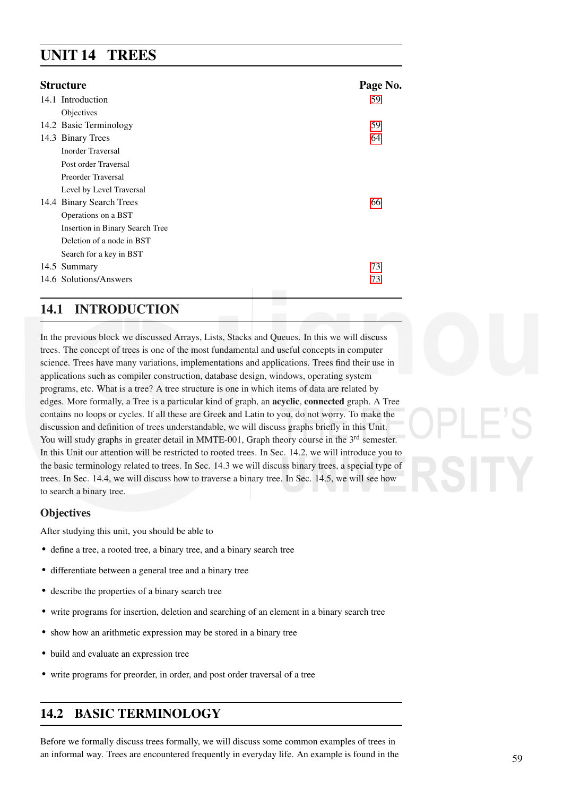# UNIT 14 TREES

| <b>Structure</b> |                                 | Page No. |
|------------------|---------------------------------|----------|
|                  | 14.1 Introduction               | 59       |
|                  | Objectives                      |          |
|                  | 14.2 Basic Terminology          | 59       |
|                  | 14.3 Binary Trees               | 64       |
|                  | Inorder Traversal               |          |
|                  | Post order Traversal            |          |
|                  | Preorder Traversal              |          |
|                  | Level by Level Traversal        |          |
|                  | 14.4 Binary Search Trees        | 66       |
|                  | Operations on a BST             |          |
|                  | Insertion in Binary Search Tree |          |
|                  | Deletion of a node in BST       |          |
|                  | Search for a key in BST         |          |
|                  | 14.5 Summary                    | 73       |
|                  | 14.6 Solutions/Answers          | 73       |
|                  |                                 |          |

# 14.1 INTRODUCTION

In the previous block we discussed Arrays, Lists, Stacks and Queues. In this we will discuss trees. The concept of trees is one of the most fundamental and useful concepts in computer science. Trees have many variations, implementations and applications. Trees find their use in applications such as compiler construction, database design, windows, operating system programs, etc. What is a tree? A tree structure is one in which items of data are related by edges. More formally, a Tree is a particular kind of graph, an acyclic, connected graph. A Tree contains no loops or cycles. If all these are Greek and Latin to you, do not worry. To make the discussion and definition of trees understandable, we will discuss graphs briefly in this Unit. You will study graphs in greater detail in MMTE-001, Graph theory course in the 3<sup>rd</sup> semester. In this Unit our attention will be restricted to rooted trees. In Sec. 14.2, we will introduce you to the basic terminology related to trees. In Sec. 14.3 we will discuss binary trees, a special type of trees. In Sec. 14.4, we will discuss how to traverse a binary tree. In Sec. 14.5, we will see how to search a binary tree.

# **Objectives**

After studying this unit, you should be able to

- define a tree, a rooted tree, a binary tree, and a binary search tree
- differentiate between a general tree and a binary tree
- describe the properties of a binary search tree
- write programs for insertion, deletion and searching of an element in a binary search tree
- show how an arithmetic expression may be stored in a binary tree
- build and evaluate an expression tree
- write programs for preorder, in order, and post order traversal of a tree

# 14.2 BASIC TERMINOLOGY

Before we formally discuss trees formally, we will discuss some common examples of trees in an informal way. Trees are encountered frequently in everyday life. An example is found in the 59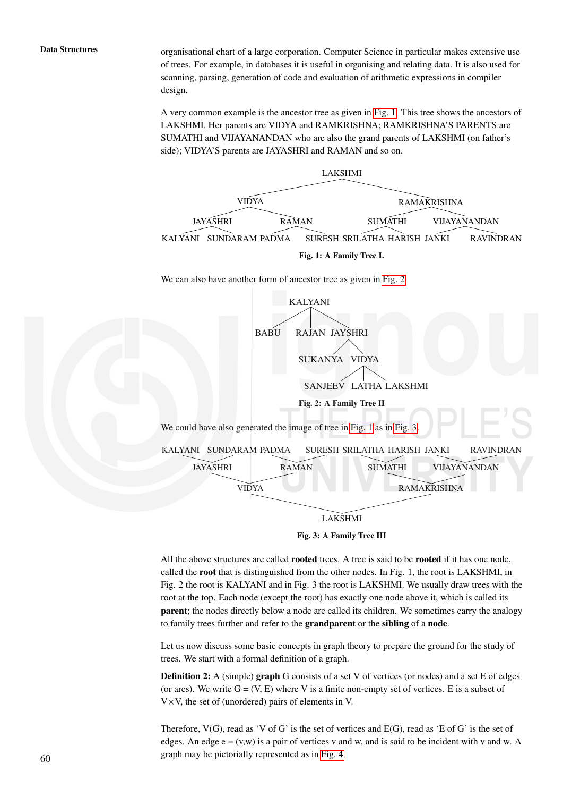Data Structures organisational chart of a large corporation. Computer Science in particular makes extensive use of trees. For example, in databases it is useful in organising and relating data. It is also used for scanning, parsing, generation of code and evaluation of arithmetic expressions in compiler design.

> A very common example is the ancestor tree as given in Fig. 1. This tree shows the ancestors of LAKSHMI. Her parents are VIDYA and RAMKRISHNA; RAMKRISHNA'S PARENTS are SUMATHI and VIJAYANANDAN who are also the grand parents of LAKSHMI (on father's side); VIDYA'S parents are JAYASHRI and RAMAN and so on.





All the above structures are called **rooted** trees. A tree is said to be **rooted** if it has one node, called the root that is distinguished from the other nodes. In Fig. 1, the root is LAKSHMI, in Fig. 2 the root is KALYANI and in Fig. 3 the root is LAKSHMI. We usually draw trees with the root at the top. Each node (except the root) has exactly one node above it, which is called its parent; the nodes directly below a node are called its children. We sometimes carry the analogy to family trees further and refer to the grandparent or the sibling of a node.

Let us now discuss some basic concepts in graph theory to prepare the ground for the study of trees. We start with a formal definition of a graph.

**Definition 2:** A (simple) **graph** G consists of a set V of vertices (or nodes) and a set E of edges (or arcs). We write  $G = (V, E)$  where V is a finite non-empty set of vertices. E is a subset of  $V \times V$ , the set of (unordered) pairs of elements in V.

Therefore,  $V(G)$ , read as 'V of G' is the set of vertices and  $E(G)$ , read as 'E of G' is the set of edges. An edge  $e = (v,w)$  is a pair of vertices v and w, and is said to be incident with v and w. A graph may be pictorially represented as in Fig. 4. 60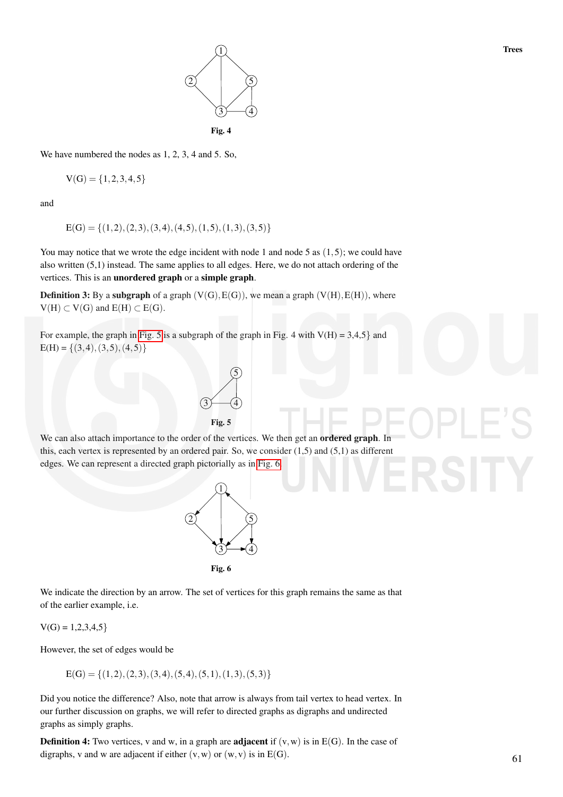

We have numbered the nodes as 1, 2, 3, 4 and 5. So,

$$
V(G) = \{1, 2, 3, 4, 5\}
$$

and

$$
E(G) = \{(1,2), (2,3), (3,4), (4,5), (1,5), (1,3), (3,5)\}
$$

You may notice that we wrote the edge incident with node 1 and node 5 as  $(1,5)$ ; we could have also written (5,1) instead. The same applies to all edges. Here, we do not attach ordering of the vertices. This is an unordered graph or a simple graph.

**Definition 3:** By a subgraph of a graph  $(V(G), E(G))$ , we mean a graph  $(V(H), E(H))$ , where  $V(H) \subset V(G)$  and  $E(H) \subset E(G)$ .

For example, the graph in Fig. 5 is a subgraph of the graph in Fig. 4 with  $V(H) = 3,4,5$  and  $E(H) = \{(3,4), (3,5), (4,5)\}\$ 



We can also attach importance to the order of the vertices. We then get an **ordered graph**. In this, each vertex is represented by an ordered pair. So, we consider (1,5) and (5,1) as different edges. We can represent a directed graph pictorially as in Fig. 6.



Fig. 6

We indicate the direction by an arrow. The set of vertices for this graph remains the same as that of the earlier example, i.e.

 $V(G) = 1,2,3,4,5$ 

However, the set of edges would be

 $E(G) = \{(1,2),(2,3),(3,4),(5,4),(5,1),(1,3),(5,3)\}$ 

Did you notice the difference? Also, note that arrow is always from tail vertex to head vertex. In our further discussion on graphs, we will refer to directed graphs as digraphs and undirected graphs as simply graphs.

**Definition 4:** Two vertices, v and w, in a graph are **adjacent** if  $(v, w)$  is in  $E(G)$ . In the case of digraphs, v and w are adjacent if either  $(v, w)$  or  $(w, v)$  is in  $E(G)$ .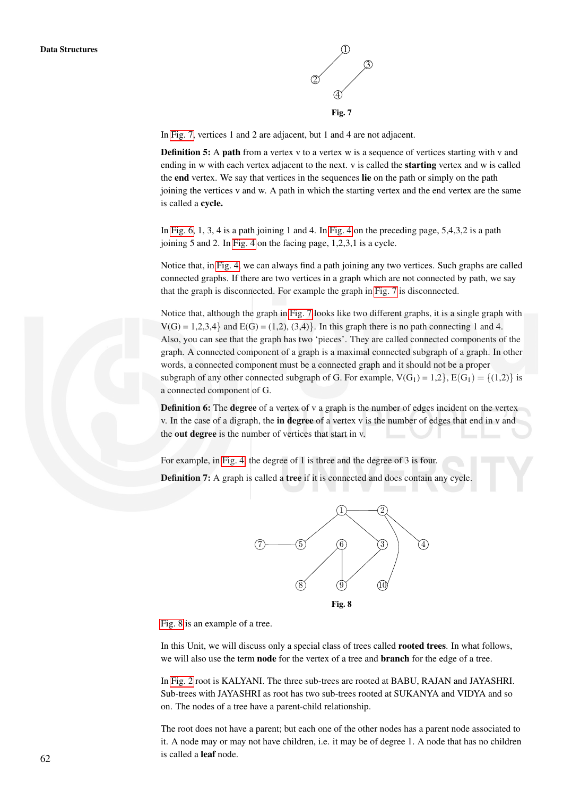

In Fig. 7, vertices 1 and 2 are adjacent, but 1 and 4 are not adjacent.

**Definition 5:** A **path** from a vertex v to a vertex w is a sequence of vertices starting with v and ending in w with each vertex adjacent to the next. v is called the starting vertex and w is called the end vertex. We say that vertices in the sequences lie on the path or simply on the path joining the vertices v and w. A path in which the starting vertex and the end vertex are the same is called a cycle.

In Fig. 6, 1, 3, 4 is a path joining 1 and 4. In Fig. 4 on the preceding page, 5,4,3,2 is a path joining 5 and 2. In Fig. 4 on the facing page, 1,2,3,1 is a cycle.

Notice that, in Fig. 4, we can always find a path joining any two vertices. Such graphs are called connected graphs. If there are two vertices in a graph which are not connected by path, we say that the graph is disconnected. For example the graph in Fig. 7 is disconnected.

Notice that, although the graph in Fig. 7 looks like two different graphs, it is a single graph with  $V(G) = 1,2,3,4$  and  $E(G) = (1,2), (3,4)$ . In this graph there is no path connecting 1 and 4. Also, you can see that the graph has two 'pieces'. They are called connected components of the graph. A connected component of a graph is a maximal connected subgraph of a graph. In other words, a connected component must be a connected graph and it should not be a proper subgraph of any other connected subgraph of G. For example,  $V(G_1) = 1,2$ ,  $E(G_1) = \{(1,2)\}\$ is a connected component of G.

**Definition 6:** The **degree** of a vertex of v a graph is the number of edges incident on the vertex v. In the case of a digraph, the in degree of a vertex  $v$  is the number of edges that end in  $v$  and the out degree is the number of vertices that start in v.

For example, in Fig. 4, the degree of 1 is three and the degree of 3 is four.

Definition 7: A graph is called a tree if it is connected and does contain any cycle.



Fig. 8

Fig. 8 is an example of a tree.

In this Unit, we will discuss only a special class of trees called rooted trees. In what follows, we will also use the term node for the vertex of a tree and branch for the edge of a tree.

In Fig. 2 root is KALYANI. The three sub-trees are rooted at BABU, RAJAN and JAYASHRI. Sub-trees with JAYASHRI as root has two sub-trees rooted at SUKANYA and VIDYA and so on. The nodes of a tree have a parent-child relationship.

The root does not have a parent; but each one of the other nodes has a parent node associated to it. A node may or may not have children, i.e. it may be of degree 1. A node that has no children is called a leaf node. 62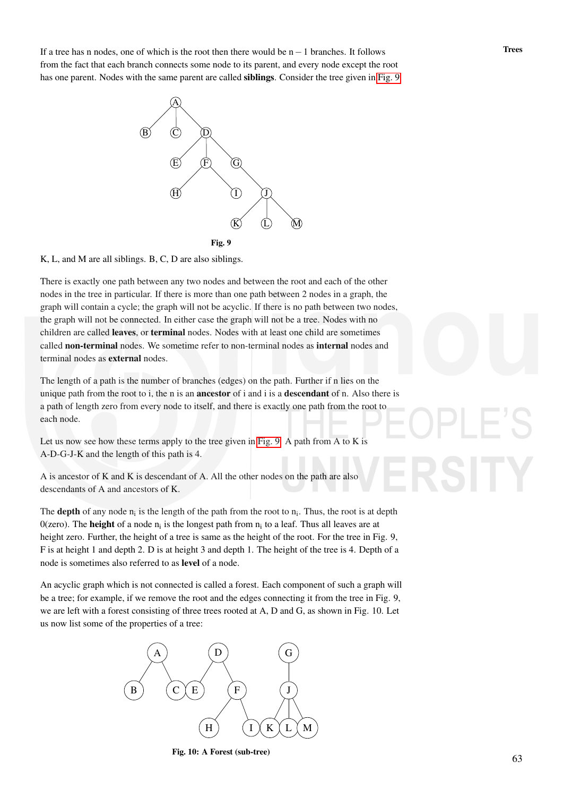If a tree has n nodes, one of which is the root then there would be  $n-1$  branches. It follows Trees from the fact that each branch connects some node to its parent, and every node except the root has one parent. Nodes with the same parent are called siblings. Consider the tree given in Fig. 9.



K, L, and M are all siblings. B, C, D are also siblings.

There is exactly one path between any two nodes and between the root and each of the other nodes in the tree in particular. If there is more than one path between 2 nodes in a graph, the graph will contain a cycle; the graph will not be acyclic. If there is no path between two nodes, the graph will not be connected. In either case the graph will not be a tree. Nodes with no children are called leaves, or terminal nodes. Nodes with at least one child are sometimes called non-terminal nodes. We sometime refer to non-terminal nodes as internal nodes and terminal nodes as external nodes.

The length of a path is the number of branches (edges) on the path. Further if n lies on the unique path from the root to i, the n is an **ancestor** of i and i is a **descendant** of n. Also there is a path of length zero from every node to itself, and there is exactly one path from the root to each node.

Let us now see how these terms apply to the tree given in Fig. 9. A path from A to K is A-D-G-J-K and the length of this path is 4.

A is ancestor of K and K is descendant of A. All the other nodes on the path are also descendants of A and ancestors of K.

The **depth** of any node  $n_i$  is the length of the path from the root to  $n_i$ . Thus, the root is at depth 0(zero). The **height** of a node  $n_i$  is the longest path from  $n_i$  to a leaf. Thus all leaves are at height zero. Further, the height of a tree is same as the height of the root. For the tree in Fig. 9, F is at height 1 and depth 2. D is at height 3 and depth 1. The height of the tree is 4. Depth of a node is sometimes also referred to as level of a node.

An acyclic graph which is not connected is called a forest. Each component of such a graph will be a tree; for example, if we remove the root and the edges connecting it from the tree in Fig. 9, we are left with a forest consisting of three trees rooted at A, D and G, as shown in Fig. 10. Let us now list some of the properties of a tree:



Fig. 10: A Forest (sub-tree)

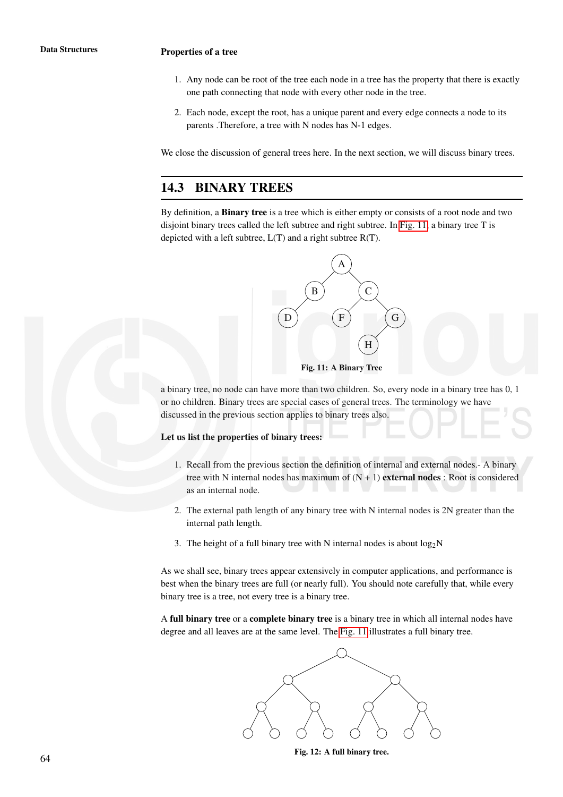### Data Structures **Properties of a tree**

- 1. Any node can be root of the tree each node in a tree has the property that there is exactly one path connecting that node with every other node in the tree.
- 2. Each node, except the root, has a unique parent and every edge connects a node to its parents .Therefore, a tree with N nodes has N-1 edges.

We close the discussion of general trees here. In the next section, we will discuss binary trees.

# 14.3 BINARY TREES

By definition, a Binary tree is a tree which is either empty or consists of a root node and two disjoint binary trees called the left subtree and right subtree. In Fig. 11, a binary tree T is depicted with a left subtree, L(T) and a right subtree R(T).





a binary tree, no node can have more than two children. So, every node in a binary tree has 0, 1 or no children. Binary trees are special cases of general trees. The terminology we have discussed in the previous section applies to binary trees also.

### Let us list the properties of binary trees:

- 1. Recall from the previous section the definition of internal and external nodes.- A binary tree with N internal nodes has maximum of  $(N + 1)$  external nodes : Root is considered as an internal node.
- 2. The external path length of any binary tree with N internal nodes is 2N greater than the internal path length.
- 3. The height of a full binary tree with N internal nodes is about  $log_2N$

As we shall see, binary trees appear extensively in computer applications, and performance is best when the binary trees are full (or nearly full). You should note carefully that, while every binary tree is a tree, not every tree is a binary tree.

A full binary tree or a complete binary tree is a binary tree in which all internal nodes have degree and all leaves are at the same level. The Fig. 11 illustrates a full binary tree.



Fig. 12: A full binary tree.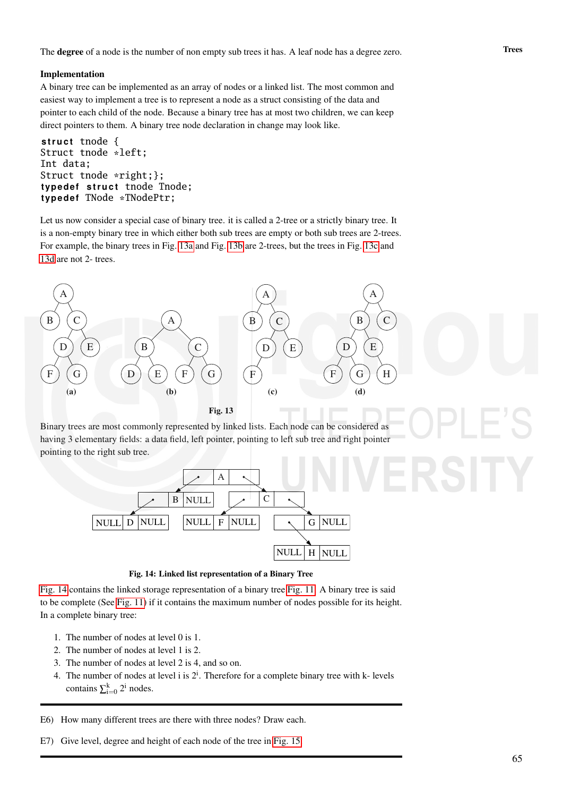### Implementation

A binary tree can be implemented as an array of nodes or a linked list. The most common and easiest way to implement a tree is to represent a node as a struct consisting of the data and pointer to each child of the node. Because a binary tree has at most two children, we can keep direct pointers to them. A binary tree node declaration in change may look like.

struct tnode { Struct tnode \*left; Int data; Struct tnode \*right;}; typedef struct tnode Tnode; typedef TNode \*TNodePtr;

Let us now consider a special case of binary tree. it is called a 2-tree or a strictly binary tree. It is a non-empty binary tree in which either both sub trees are empty or both sub trees are 2-trees. For example, the binary trees in Fig. 13a and Fig. 13b are 2-trees, but the trees in Fig. 13c and 13d are not 2- trees.



Binary trees are most commonly represented by linked lists. Each node can be considered as having 3 elementary fields: a data field, left pointer, pointing to left sub tree and right pointer pointing to the right sub tree.



Fig. 14: Linked list representation of a Binary Tree

Fig. 14 contains the linked storage representation of a binary tree Fig. 11. A binary tree is said to be complete (See Fig. 11) if it contains the maximum number of nodes possible for its height. In a complete binary tree:

- 1. The number of nodes at level 0 is 1.
- 2. The number of nodes at level 1 is 2.
- 3. The number of nodes at level 2 is 4, and so on.
- 4. The number of nodes at level i is  $2^i$ . Therefore for a complete binary tree with k- levels contains  $\sum_{i=0}^{k} 2^{i}$  nodes.

E6) How many different trees are there with three nodes? Draw each.

E7) Give level, degree and height of each node of the tree in Fig. 15.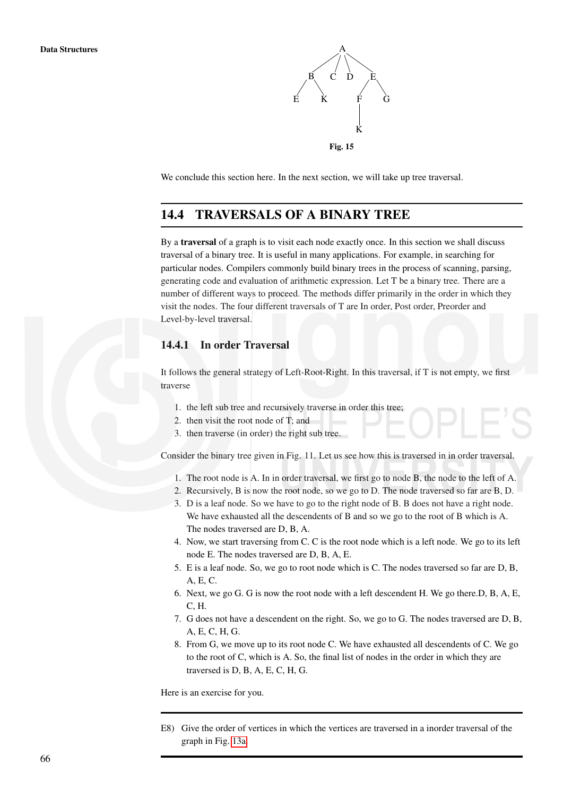

We conclude this section here. In the next section, we will take up tree traversal.

# 14.4 TRAVERSALS OF A BINARY TREE

By a traversal of a graph is to visit each node exactly once. In this section we shall discuss traversal of a binary tree. It is useful in many applications. For example, in searching for particular nodes. Compilers commonly build binary trees in the process of scanning, parsing, generating code and evaluation of arithmetic expression. Let T be a binary tree. There are a number of different ways to proceed. The methods differ primarily in the order in which they visit the nodes. The four different traversals of T are In order, Post order, Preorder and Level-by-level traversal.

### 14.4.1 In order Traversal

It follows the general strategy of Left-Root-Right. In this traversal, if T is not empty, we first traverse

- 1. the left sub tree and recursively traverse in order this tree;
- 2. then visit the root node of T; and
- 3. then traverse (in order) the right sub tree.

Consider the binary tree given in Fig. 11. Let us see how this is traversed in in order traversal.

- 1. The root node is A. In in order traversal, we first go to node B, the node to the left of A.
- 2. Recursively, B is now the root node, so we go to D. The node traversed so far are B, D.
- 3. D is a leaf node. So we have to go to the right node of B. B does not have a right node. We have exhausted all the descendents of B and so we go to the root of B which is A. The nodes traversed are D, B, A.
- 4. Now, we start traversing from C. C is the root node which is a left node. We go to its left node E. The nodes traversed are D, B, A, E.
- 5. E is a leaf node. So, we go to root node which is C. The nodes traversed so far are D, B, A, E, C.
- 6. Next, we go G. G is now the root node with a left descendent H. We go there.D, B, A, E, C, H.
- 7. G does not have a descendent on the right. So, we go to G. The nodes traversed are D, B, A, E, C, H, G.
- 8. From G, we move up to its root node C. We have exhausted all descendents of C. We go to the root of C, which is A. So, the final list of nodes in the order in which they are traversed is D, B, A, E, C, H, G.

Here is an exercise for you.

E8) Give the order of vertices in which the vertices are traversed in a inorder traversal of the graph in Fig. 13a.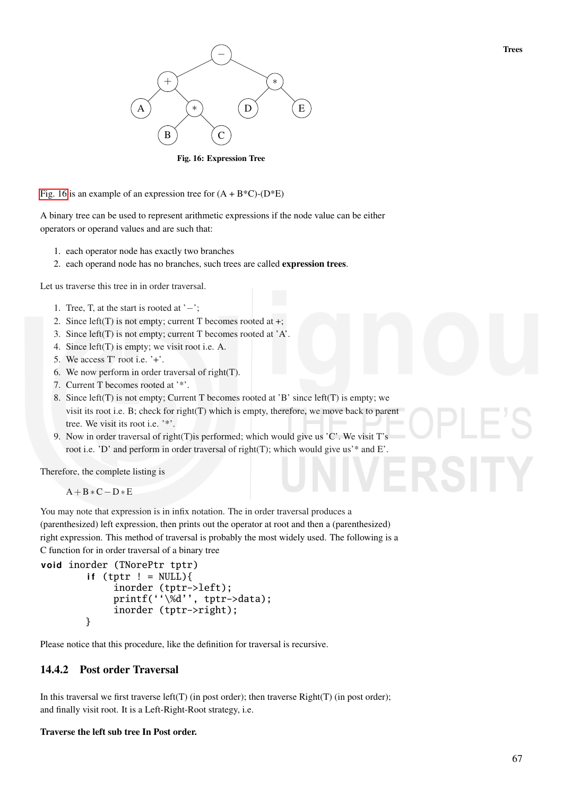

Fig. 16: Expression Tree

Fig. 16 is an example of an expression tree for  $(A + B^*C)$ - $(D^*E)$ 

A binary tree can be used to represent arithmetic expressions if the node value can be either operators or operand values and are such that:

- 1. each operator node has exactly two branches
- 2. each operand node has no branches, such trees are called expression trees.

Let us traverse this tree in in order traversal.

- 1. Tree, T, at the start is rooted at '−';
- 2. Since left(T) is not empty; current T becomes rooted at +;
- 3. Since left(T) is not empty; current T becomes rooted at 'A'.
- 4. Since left(T) is empty; we visit root i.e. A.
- 5. We access T' root i.e. '+'.
- 6. We now perform in order traversal of right(T).
- 7. Current T becomes rooted at '\*'.
- 8. Since left(T) is not empty; Current T becomes rooted at 'B' since left(T) is empty; we visit its root i.e. B; check for right(T) which is empty, therefore, we move back to parent tree. We visit its root i.e. '\*'.
- 9. Now in order traversal of right(T) is performed; which would give us 'C'. We visit T's root i.e. 'D' and perform in order traversal of right(T); which would give us'\* and E'.

Therefore, the complete listing is

A+B∗C−D∗E

You may note that expression is in infix notation. The in order traversal produces a (parenthesized) left expression, then prints out the operator at root and then a (parenthesized) right expression. This method of traversal is probably the most widely used. The following is a C function for in order traversal of a binary tree

```
void inorder (TNorePtr tptr)
    if (tptr ! = NULL){
         inorder (tptr->left);
         printf(''\%d'', tptr>data);inorder (tptr->right);
    }
```
Please notice that this procedure, like the definition for traversal is recursive.

## 14.4.2 Post order Traversal

In this traversal we first traverse left(T) (in post order); then traverse Right(T) (in post order); and finally visit root. It is a Left-Right-Root strategy, i.e.

### Traverse the left sub tree In Post order.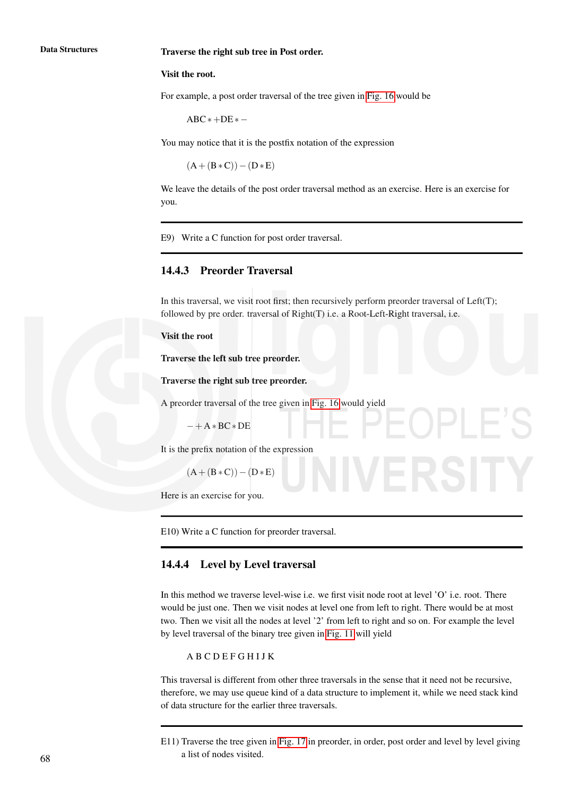### Data Structures Traverse the right sub tree in Post order.

### Visit the root.

For example, a post order traversal of the tree given in Fig. 16 would be

 $ABC*+DE* -$ 

You may notice that it is the postfix notation of the expression

 $(A + (B * C)) - (D * E)$ 

We leave the details of the post order traversal method as an exercise. Here is an exercise for you.

E9) Write a C function for post order traversal.

### 14.4.3 Preorder Traversal

In this traversal, we visit root first; then recursively perform preorder traversal of  $Left(T)$ ; followed by pre order. traversal of Right(T) i.e. a Root-Left-Right traversal, i.e.

### Visit the root

Traverse the left sub tree preorder.

Traverse the right sub tree preorder.

A preorder traversal of the tree given in Fig. 16 would yield

 $-+A*BC*DE$ 

It is the prefix notation of the expression

 $(A + (B * C)) - (D * E)$ 

Here is an exercise for you.

E10) Write a C function for preorder traversal.

## 14.4.4 Level by Level traversal

In this method we traverse level-wise i.e. we first visit node root at level 'O' i.e. root. There would be just one. Then we visit nodes at level one from left to right. There would be at most two. Then we visit all the nodes at level '2' from left to right and so on. For example the level by level traversal of the binary tree given in Fig. 11 will yield

### A B C D E F G H I J K

This traversal is different from other three traversals in the sense that it need not be recursive, therefore, we may use queue kind of a data structure to implement it, while we need stack kind of data structure for the earlier three traversals.

E11) Traverse the tree given in Fig. 17 in preorder, in order, post order and level by level giving a list of nodes visited. 68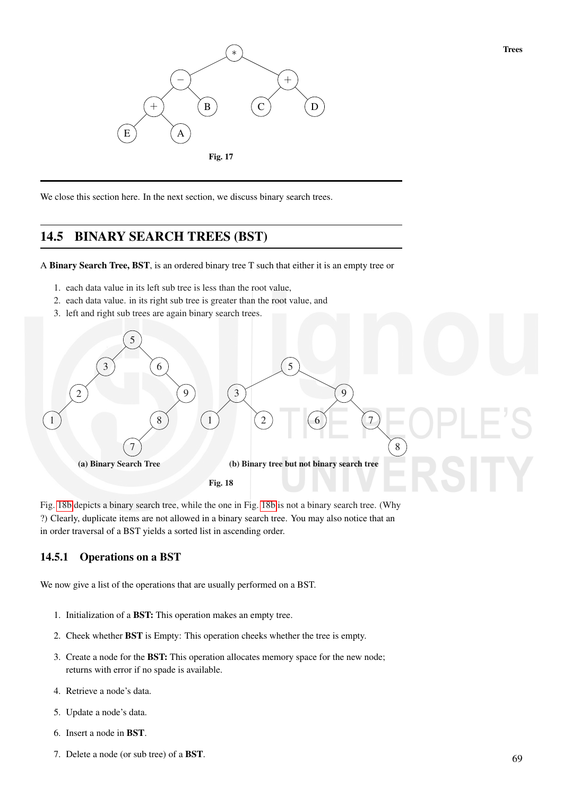

We close this section here. In the next section, we discuss binary search trees.

# 14.5 BINARY SEARCH TREES (BST)

A Binary Search Tree, BST, is an ordered binary tree T such that either it is an empty tree or

- 1. each data value in its left sub tree is less than the root value,
- 2. each data value. in its right sub tree is greater than the root value, and
- 3. left and right sub trees are again binary search trees.



Fig. 18b depicts a binary search tree, while the one in Fig. 18b is not a binary search tree. (Why ?) Clearly, duplicate items are not allowed in a binary search tree. You may also notice that an in order traversal of a BST yields a sorted list in ascending order.

## 14.5.1 Operations on a BST

We now give a list of the operations that are usually performed on a BST.

- 1. Initialization of a BST: This operation makes an empty tree.
- 2. Cheek whether BST is Empty: This operation cheeks whether the tree is empty.
- 3. Create a node for the BST: This operation allocates memory space for the new node; returns with error if no spade is available.
- 4. Retrieve a node's data.
- 5. Update a node's data.
- 6. Insert a node in BST.
- 7. Delete a node (or sub tree) of a BST.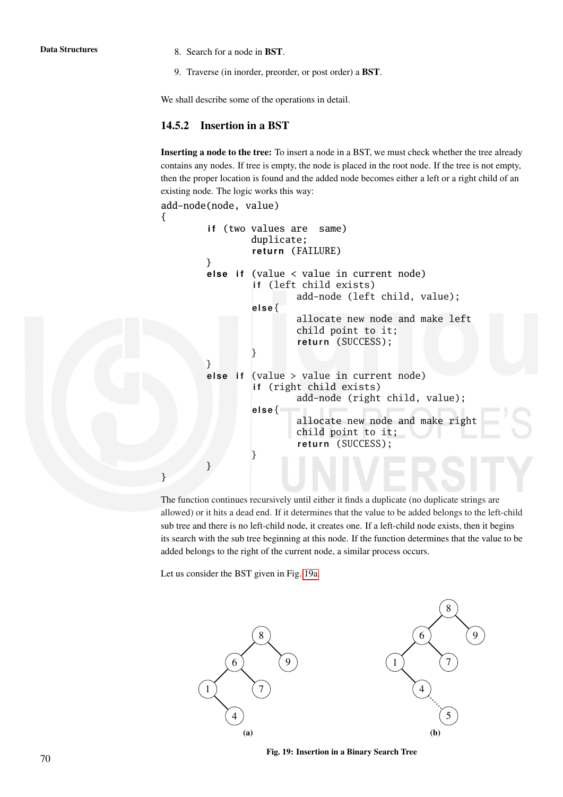- **Data Structures** 8. Search for a node in **BST**.
	- 9. Traverse (in inorder, preorder, or post order) a BST.

We shall describe some of the operations in detail.

## 14.5.2 Insertion in a BST

{

}

Inserting a node to the tree: To insert a node in a BST, we must check whether the tree already contains any nodes. If tree is empty, the node is placed in the root node. If the tree is not empty, then the proper location is found and the added node becomes either a left or a right child of an existing node. The logic works this way:

```
add-node(node, value)
    if (two values are same)
             duplicate;
             return (FAILURE)
    }
    else if (value \langle value in current node)
             if (left child exists)
                     add-node (left child, value);
             el s e{
                     allocate new node and make left
                     child point to it;
                     return (SUCCESS);
             }
    }
    else if (value > value in current node)
             if (right child exists)
                     add-node (right child, value);
             el s e{
                     allocate new node and make right
                     child point to it;
                     return (SUCCESS);
             }
    }
```
The function continues recursively until either it finds a duplicate (no duplicate strings are allowed) or it hits a dead end. If it determines that the value to be added belongs to the left-child sub tree and there is no left-child node, it creates one. If a left-child node exists, then it begins its search with the sub tree beginning at this node. If the function determines that the value to be added belongs to the right of the current node, a similar process occurs.

Let us consider the BST given in Fig. 19a.



Fig. 19: Insertion in a Binary Search Tree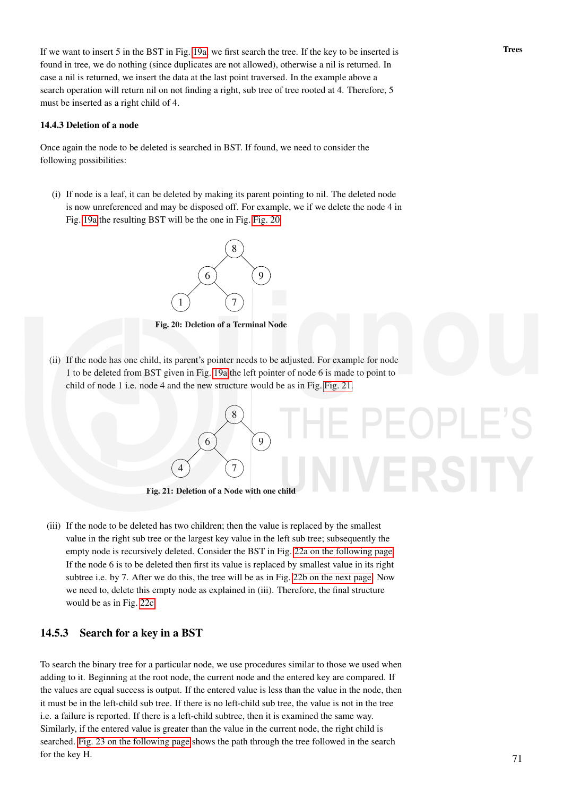If we want to insert 5 in the BST in Fig. 19a, we first search the tree. If the key to be inserted is Trees found in tree, we do nothing (since duplicates are not allowed), otherwise a nil is returned. In case a nil is returned, we insert the data at the last point traversed. In the example above a search operation will return nil on not finding a right, sub tree of tree rooted at 4. Therefore, 5 must be inserted as a right child of 4.

### 14.4.3 Deletion of a node

Once again the node to be deleted is searched in BST. If found, we need to consider the following possibilities:

(i) If node is a leaf, it can be deleted by making its parent pointing to nil. The deleted node is now unreferenced and may be disposed off. For example, we if we delete the node 4 in Fig. 19a the resulting BST will be the one in Fig. Fig. 20.



Fig. 20: Deletion of a Terminal Node

(ii) If the node has one child, its parent's pointer needs to be adjusted. For example for node 1 to be deleted from BST given in Fig. 19a the left pointer of node 6 is made to point to child of node 1 i.e. node 4 and the new structure would be as in Fig. Fig. 21.



Fig. 21: Deletion of a Node with one child

(iii) If the node to be deleted has two children; then the value is replaced by the smallest value in the right sub tree or the largest key value in the left sub tree; subsequently the empty node is recursively deleted. Consider the BST in Fig. 22a on the following page. If the node 6 is to be deleted then first its value is replaced by smallest value in its right subtree i.e. by 7. After we do this, the tree will be as in Fig. 22b on the next page. Now we need to, delete this empty node as explained in (iii). Therefore, the final structure would be as in Fig. 22c.

### 14.5.3 Search for a key in a BST

To search the binary tree for a particular node, we use procedures similar to those we used when adding to it. Beginning at the root node, the current node and the entered key are compared. If the values are equal success is output. If the entered value is less than the value in the node, then it must be in the left-child sub tree. If there is no left-child sub tree, the value is not in the tree i.e. a failure is reported. If there is a left-child subtree, then it is examined the same way. Similarly, if the entered value is greater than the value in the current node, the right child is searched. Fig. 23 on the following page shows the path through the tree followed in the search for the key H.  $\frac{71}{2}$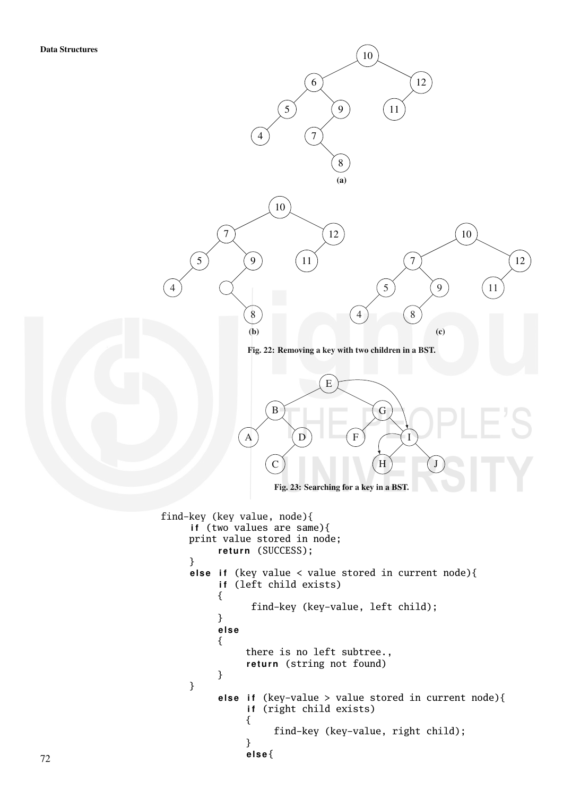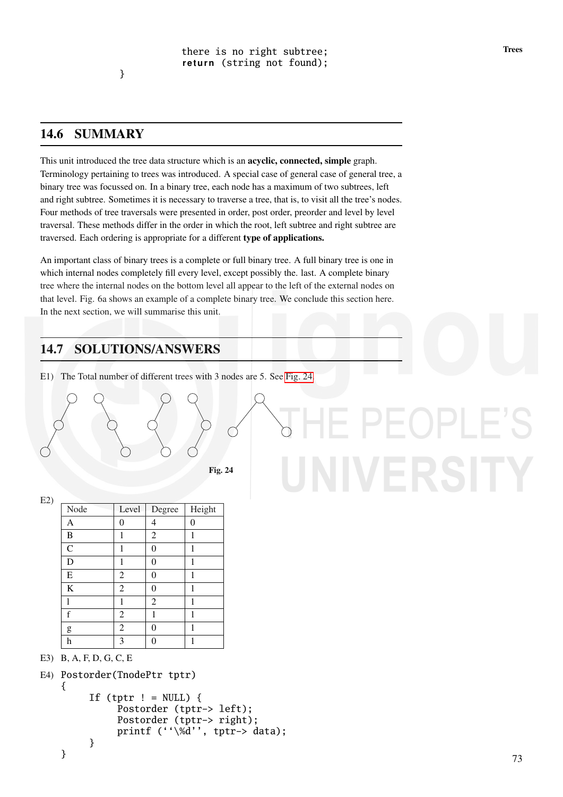# 14.6 SUMMARY

This unit introduced the tree data structure which is an acyclic, connected, simple graph. Terminology pertaining to trees was introduced. A special case of general case of general tree, a binary tree was focussed on. In a binary tree, each node has a maximum of two subtrees, left and right subtree. Sometimes it is necessary to traverse a tree, that is, to visit all the tree's nodes. Four methods of tree traversals were presented in order, post order, preorder and level by level traversal. These methods differ in the order in which the root, left subtree and right subtree are traversed. Each ordering is appropriate for a different type of applications.

An important class of binary trees is a complete or full binary tree. A full binary tree is one in which internal nodes completely fill every level, except possibly the. last. A complete binary tree where the internal nodes on the bottom level all appear to the left of the external nodes on that level. Fig. 6a shows an example of a complete binary tree. We conclude this section here. In the next section, we will summarise this unit.

# 14.7 SOLUTIONS/ANSWERS

E1) The Total number of different trees with 3 nodes are 5. See Fig. 24.

|  | $E^* \sim 24$ |  |
|--|---------------|--|

```
Fig. 24
```
# f,

 $E2$ 

| Node          | Level          | Degree         | Height   |
|---------------|----------------|----------------|----------|
| A             | 0              | 4              | $\Omega$ |
| B             | 1              | $\overline{2}$ | 1        |
| $\mathcal{C}$ | 1              | 0              | 1        |
| D             | 1              | 0              | 1        |
| ${\bf E}$     | $\mathfrak{2}$ | 0              | 1        |
| $\bf K$       | $\overline{2}$ | 0              | 1        |
| 1             | 1              | $\overline{2}$ | 1        |
| f             | $\overline{2}$ | 1              | 1        |
| g             | $\overline{2}$ | 0              | 1        |
| h             | 3              |                |          |

E3) B, A, F, D, G, C, E

}

```
E4) Postorder(TnodePtr tptr)
{
      If (tptr ! = NULL) {
           Postorder (tptr-> left);
           Postorder (tptr-> right);
           printf (''\%d'', \text{tptr-} > \text{data});
```

```
}
```